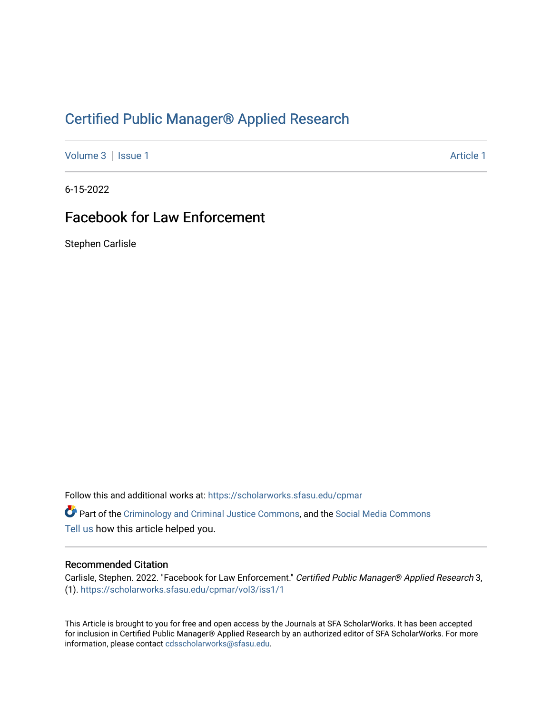## [Certified Public Manager® Applied Research](https://scholarworks.sfasu.edu/cpmar)

[Volume 3](https://scholarworks.sfasu.edu/cpmar/vol3) | [Issue 1](https://scholarworks.sfasu.edu/cpmar/vol3/iss1) Article 1

6-15-2022

# Facebook for Law Enforcement

Stephen Carlisle

Follow this and additional works at: [https://scholarworks.sfasu.edu/cpmar](https://scholarworks.sfasu.edu/cpmar?utm_source=scholarworks.sfasu.edu%2Fcpmar%2Fvol3%2Fiss1%2F1&utm_medium=PDF&utm_campaign=PDFCoverPages) 

Part of the [Criminology and Criminal Justice Commons](https://network.bepress.com/hgg/discipline/367?utm_source=scholarworks.sfasu.edu%2Fcpmar%2Fvol3%2Fiss1%2F1&utm_medium=PDF&utm_campaign=PDFCoverPages), and the [Social Media Commons](https://network.bepress.com/hgg/discipline/1249?utm_source=scholarworks.sfasu.edu%2Fcpmar%2Fvol3%2Fiss1%2F1&utm_medium=PDF&utm_campaign=PDFCoverPages) [Tell us](http://sfasu.qualtrics.com/SE/?SID=SV_0qS6tdXftDLradv) how this article helped you.

#### Recommended Citation

Carlisle, Stephen. 2022. "Facebook for Law Enforcement." Certified Public Manager® Applied Research 3, (1). [https://scholarworks.sfasu.edu/cpmar/vol3/iss1/1](https://scholarworks.sfasu.edu/cpmar/vol3/iss1/1?utm_source=scholarworks.sfasu.edu%2Fcpmar%2Fvol3%2Fiss1%2F1&utm_medium=PDF&utm_campaign=PDFCoverPages) 

This Article is brought to you for free and open access by the Journals at SFA ScholarWorks. It has been accepted for inclusion in Certified Public Manager® Applied Research by an authorized editor of SFA ScholarWorks. For more information, please contact [cdsscholarworks@sfasu.edu](mailto:cdsscholarworks@sfasu.edu).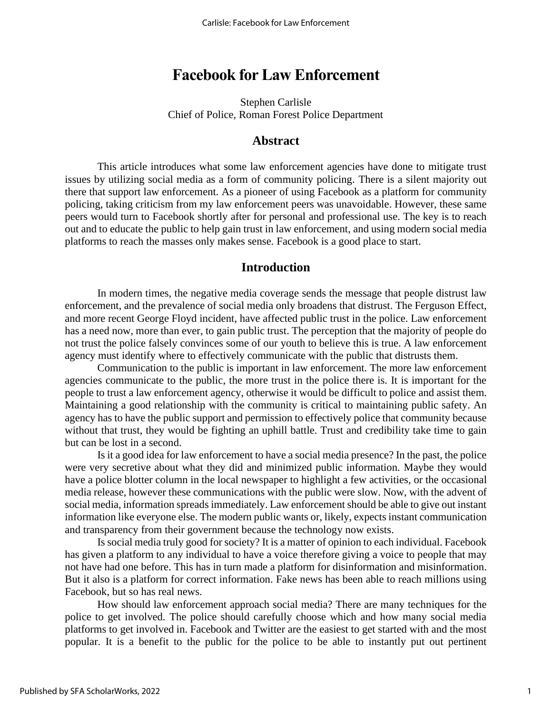## **Facebook for Law Enforcement**

Stephen Carlisle Chief of Police, Roman Forest Police Department

#### **Abstract**

This article introduces what some law enforcement agencies have done to mitigate trust issues by utilizing social media as a form of community policing. There is a silent majority out there that support law enforcement. As a pioneer of using Facebook as a platform for community policing, taking criticism from my law enforcement peers was unavoidable. However, these same peers would turn to Facebook shortly after for personal and professional use. The key is to reach out and to educate the public to help gain trust in law enforcement, and using modern social media platforms to reach the masses only makes sense. Facebook is a good place to start.

#### **Introduction**

In modern times, the negative media coverage sends the message that people distrust law enforcement, and the prevalence of social media only broadens that distrust. The Ferguson Effect, and more recent George Floyd incident, have affected public trust in the police. Law enforcement has a need now, more than ever, to gain public trust. The perception that the majority of people do not trust the police falsely convinces some of our youth to believe this is true. A law enforcement agency must identify where to effectively communicate with the public that distrusts them.

Communication to the public is important in law enforcement. The more law enforcement agencies communicate to the public, the more trust in the police there is. It is important for the people to trust a law enforcement agency, otherwise it would be difficult to police and assist them. Maintaining a good relationship with the community is critical to maintaining public safety. An agency has to have the public support and permission to effectively police that community because without that trust, they would be fighting an uphill battle. Trust and credibility take time to gain but can be lost in a second.

Is it a good idea for law enforcement to have a social media presence? In the past, the police were very secretive about what they did and minimized public information. Maybe they would have a police blotter column in the local newspaper to highlight a few activities, or the occasional media release, however these communications with the public were slow. Now, with the advent of social media, information spreads immediately. Law enforcement should be able to give out instant information like everyone else. The modern public wants or, likely, expects instant communication and transparency from their government because the technology now exists.

Is social media truly good for society? It is a matter of opinion to each individual. Facebook has given a platform to any individual to have a voice therefore giving a voice to people that may not have had one before. This has in turn made a platform for disinformation and misinformation. But it also is a platform for correct information. Fake news has been able to reach millions using Facebook, but so has real news.

How should law enforcement approach social media? There are many techniques for the police to get involved. The police should carefully choose which and how many social media platforms to get involved in. Facebook and Twitter are the easiest to get started with and the most popular. It is a benefit to the public for the police to be able to instantly put out pertinent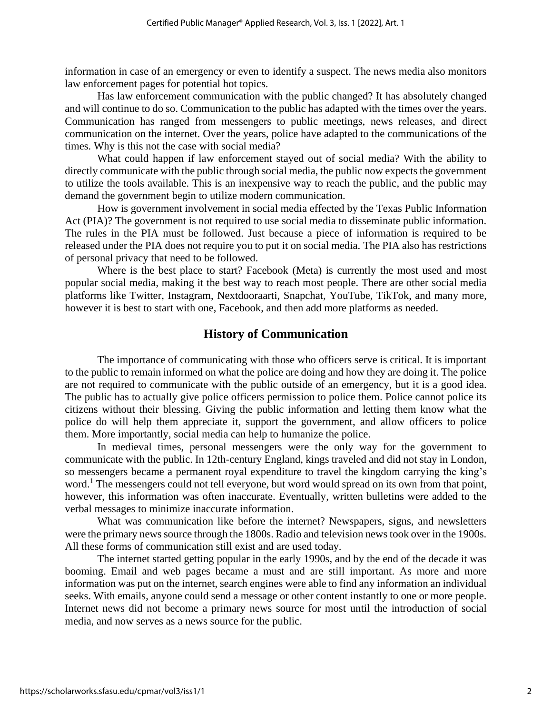information in case of an emergency or even to identify a suspect. The news media also monitors law enforcement pages for potential hot topics.

Has law enforcement communication with the public changed? It has absolutely changed and will continue to do so. Communication to the public has adapted with the times over the years. Communication has ranged from messengers to public meetings, news releases, and direct communication on the internet. Over the years, police have adapted to the communications of the times. Why is this not the case with social media?

What could happen if law enforcement stayed out of social media? With the ability to directly communicate with the public through social media, the public now expects the government to utilize the tools available. This is an inexpensive way to reach the public, and the public may demand the government begin to utilize modern communication.

How is government involvement in social media effected by the Texas Public Information Act (PIA)? The government is not required to use social media to disseminate public information. The rules in the PIA must be followed. Just because a piece of information is required to be released under the PIA does not require you to put it on social media. The PIA also has restrictions of personal privacy that need to be followed.

Where is the best place to start? Facebook (Meta) is currently the most used and most popular social media, making it the best way to reach most people. There are other social media platforms like Twitter, Instagram, Nextdooraarti, Snapchat, YouTube, TikTok, and many more, however it is best to start with one, Facebook, and then add more platforms as needed.

## **History of Communication**

The importance of communicating with those who officers serve is critical. It is important to the public to remain informed on what the police are doing and how they are doing it. The police are not required to communicate with the public outside of an emergency, but it is a good idea. The public has to actually give police officers permission to police them. Police cannot police its citizens without their blessing. Giving the public information and letting them know what the police do will help them appreciate it, support the government, and allow officers to police them. More importantly, social media can help to humanize the police.

In medieval times, personal messengers were the only way for the government to communicate with the public. In 12th-century England, kings traveled and did not stay in London, so messengers became a permanent royal expenditure to travel the kingdom carrying the king's word.<sup>1</sup> The messengers could not tell everyone, but word would spread on its own from that point, however, this information was often inaccurate. Eventually, written bulletins were added to the verbal messages to minimize inaccurate information.

What was communication like before the internet? Newspapers, signs, and newsletters were the primary news source through the 1800s. Radio and television news took over in the 1900s. All these forms of communication still exist and are used today.

The internet started getting popular in the early 1990s, and by the end of the decade it was booming. Email and web pages became a must and are still important. As more and more information was put on the internet, search engines were able to find any information an individual seeks. With emails, anyone could send a message or other content instantly to one or more people. Internet news did not become a primary news source for most until the introduction of social media, and now serves as a news source for the public.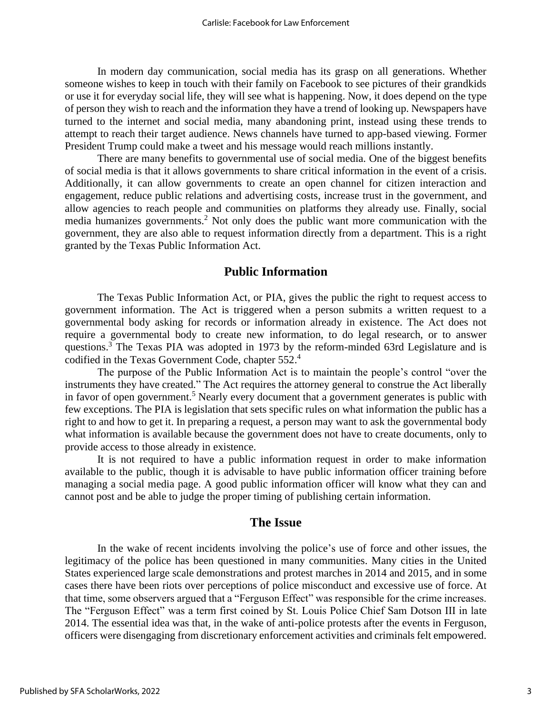In modern day communication, social media has its grasp on all generations. Whether someone wishes to keep in touch with their family on Facebook to see pictures of their grandkids or use it for everyday social life, they will see what is happening. Now, it does depend on the type of person they wish to reach and the information they have a trend of looking up. Newspapers have turned to the internet and social media, many abandoning print, instead using these trends to attempt to reach their target audience. News channels have turned to app-based viewing. Former President Trump could make a tweet and his message would reach millions instantly.

There are many benefits to governmental use of social media. One of the biggest benefits of social media is that it allows governments to share critical information in the event of a crisis. Additionally, it can allow governments to create an open channel for citizen interaction and engagement, reduce public relations and advertising costs, increase trust in the government, and allow agencies to reach people and communities on platforms they already use. Finally, social media humanizes governments.<sup>2</sup> Not only does the public want more communication with the government, they are also able to request information directly from a department. This is a right granted by the Texas Public Information Act.

### **Public Information**

The Texas Public Information Act, or PIA, gives the public the right to request access to government information. The Act is triggered when a person submits a written request to a governmental body asking for records or information already in existence. The Act does not require a governmental body to create new information, to do legal research, or to answer questions.<sup>3</sup> The Texas PIA was adopted in 1973 by the reform-minded 63rd Legislature and is codified in the Texas Government Code, chapter 552. 4

The purpose of the Public Information Act is to maintain the people's control "over the instruments they have created." The Act requires the attorney general to construe the Act liberally in favor of open government.<sup>5</sup> Nearly every document that a government generates is public with few exceptions. The PIA is legislation that sets specific rules on what information the public has a right to and how to get it. In preparing a request, a person may want to ask the governmental body what information is available because the government does not have to create documents, only to provide access to those already in existence.

It is not required to have a public information request in order to make information available to the public, though it is advisable to have public information officer training before managing a social media page. A good public information officer will know what they can and cannot post and be able to judge the proper timing of publishing certain information.

#### **The Issue**

In the wake of recent incidents involving the police's use of force and other issues, the legitimacy of the police has been questioned in many communities. Many cities in the United States experienced large scale demonstrations and protest marches in 2014 and 2015, and in some cases there have been riots over perceptions of police misconduct and excessive use of force. At that time, some observers argued that a "Ferguson Effect" was responsible for the crime increases. The "Ferguson Effect" was a term first coined by St. Louis Police Chief Sam Dotson III in late 2014. The essential idea was that, in the wake of anti-police protests after the events in Ferguson, officers were disengaging from discretionary enforcement activities and criminals felt empowered.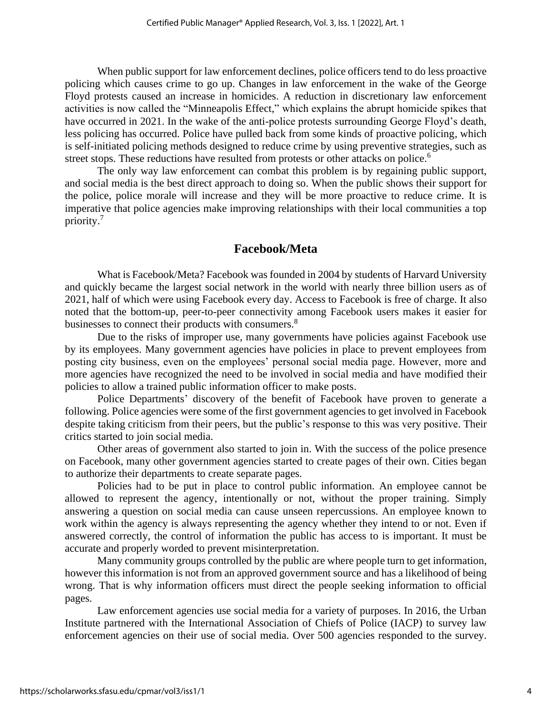When public support for law enforcement declines, police officers tend to do less proactive policing which causes crime to go up. Changes in law enforcement in the wake of the George Floyd protests caused an increase in homicides. A reduction in discretionary law enforcement activities is now called the "Minneapolis Effect," which explains the abrupt homicide spikes that have occurred in 2021. In the wake of the anti-police protests surrounding George Floyd's death, less policing has occurred. Police have pulled back from some kinds of proactive policing, which is self-initiated policing methods designed to reduce crime by using preventive strategies, such as street stops. These reductions have resulted from protests or other attacks on police.<sup>6</sup>

The only way law enforcement can combat this problem is by regaining public support, and social media is the best direct approach to doing so. When the public shows their support for the police, police morale will increase and they will be more proactive to reduce crime. It is imperative that police agencies make improving relationships with their local communities a top priority.<sup>7</sup>

### **Facebook/Meta**

What is Facebook/Meta? Facebook was founded in 2004 by students of Harvard University and quickly became the largest social network in the world with nearly three billion users as of 2021, half of which were using Facebook every day. Access to Facebook is free of charge. It also noted that the bottom-up, peer-to-peer connectivity among Facebook users makes it easier for businesses to connect their products with consumers.<sup>8</sup>

Due to the risks of improper use, many governments have policies against Facebook use by its employees. Many government agencies have policies in place to prevent employees from posting city business, even on the employees' personal social media page. However, more and more agencies have recognized the need to be involved in social media and have modified their policies to allow a trained public information officer to make posts.

Police Departments' discovery of the benefit of Facebook have proven to generate a following. Police agencies were some of the first government agencies to get involved in Facebook despite taking criticism from their peers, but the public's response to this was very positive. Their critics started to join social media.

Other areas of government also started to join in. With the success of the police presence on Facebook, many other government agencies started to create pages of their own. Cities began to authorize their departments to create separate pages.

Policies had to be put in place to control public information. An employee cannot be allowed to represent the agency, intentionally or not, without the proper training. Simply answering a question on social media can cause unseen repercussions. An employee known to work within the agency is always representing the agency whether they intend to or not. Even if answered correctly, the control of information the public has access to is important. It must be accurate and properly worded to prevent misinterpretation.

Many community groups controlled by the public are where people turn to get information, however this information is not from an approved government source and has a likelihood of being wrong. That is why information officers must direct the people seeking information to official pages.

Law enforcement agencies use social media for a variety of purposes. In 2016, the Urban Institute partnered with the International Association of Chiefs of Police (IACP) to survey law enforcement agencies on their use of social media. Over 500 agencies responded to the survey.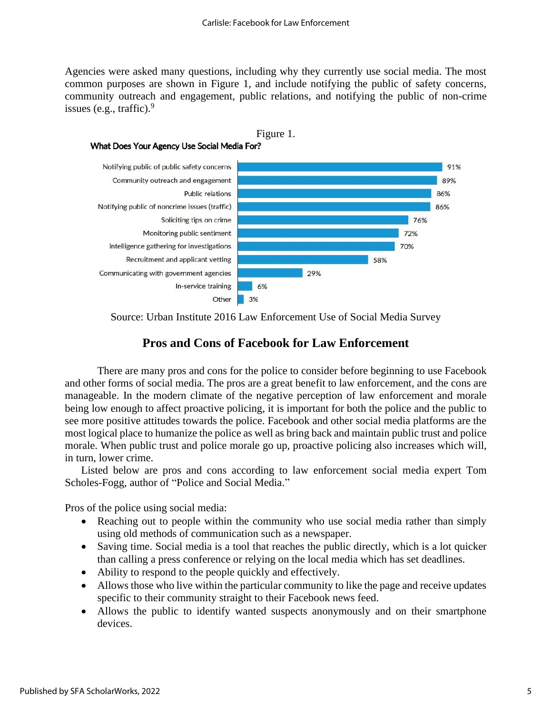Agencies were asked many questions, including why they currently use social media. The most common purposes are shown in Figure 1, and include notifying the public of safety concerns, community outreach and engagement, public relations, and notifying the public of non-crime issues (e.g., traffic). 9



Source: Urban Institute 2016 Law Enforcement Use of Social Media Survey

### **Pros and Cons of Facebook for Law Enforcement**

There are many pros and cons for the police to consider before beginning to use Facebook and other forms of social media. The pros are a great benefit to law enforcement, and the cons are manageable. In the modern climate of the negative perception of law enforcement and morale being low enough to affect proactive policing, it is important for both the police and the public to see more positive attitudes towards the police. Facebook and other social media platforms are the most logical place to humanize the police as well as bring back and maintain public trust and police morale. When public trust and police morale go up, proactive policing also increases which will, in turn, lower crime.

Listed below are pros and cons according to law enforcement social media expert Tom Scholes-Fogg, author of "Police and Social Media."

Pros of the police using social media:

- Reaching out to people within the community who use social media rather than simply using old methods of communication such as a newspaper.
- Saving time. Social media is a tool that reaches the public directly, which is a lot quicker than calling a press conference or relying on the local media which has set deadlines.
- Ability to respond to the people quickly and effectively.
- Allows those who live within the particular community to like the page and receive updates specific to their community straight to their Facebook news feed.
- Allows the public to identify wanted suspects anonymously and on their smartphone devices.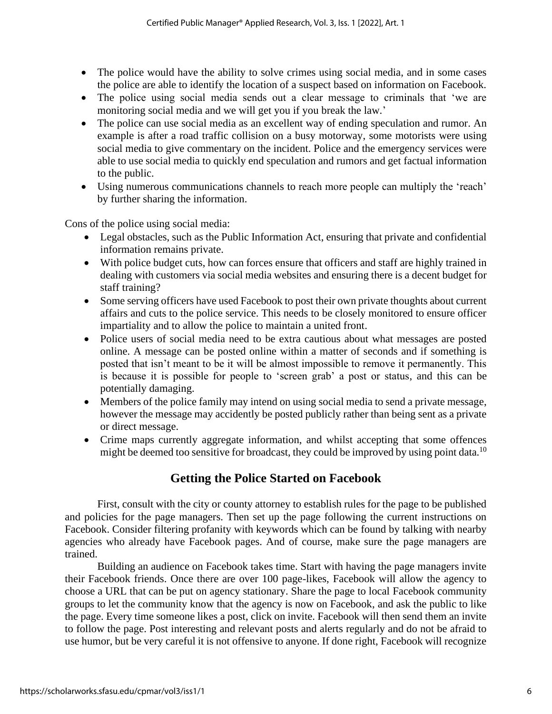- The police would have the ability to solve crimes using social media, and in some cases the police are able to identify the location of a suspect based on information on Facebook.
- The police using social media sends out a clear message to criminals that 'we are monitoring social media and we will get you if you break the law.'
- The police can use social media as an excellent way of ending speculation and rumor. An example is after a road traffic collision on a busy motorway, some motorists were using social media to give commentary on the incident. Police and the emergency services were able to use social media to quickly end speculation and rumors and get factual information to the public.
- Using numerous communications channels to reach more people can multiply the 'reach' by further sharing the information.

Cons of the police using social media:

- Legal obstacles, such as the Public Information Act, ensuring that private and confidential information remains private.
- With police budget cuts, how can forces ensure that officers and staff are highly trained in dealing with customers via social media websites and ensuring there is a decent budget for staff training?
- Some serving officers have used Facebook to post their own private thoughts about current affairs and cuts to the police service. This needs to be closely monitored to ensure officer impartiality and to allow the police to maintain a united front.
- Police users of social media need to be extra cautious about what messages are posted online. A message can be posted online within a matter of seconds and if something is posted that isn't meant to be it will be almost impossible to remove it permanently. This is because it is possible for people to 'screen grab' a post or status, and this can be potentially damaging.
- Members of the police family may intend on using social media to send a private message, however the message may accidently be posted publicly rather than being sent as a private or direct message.
- Crime maps currently aggregate information, and whilst accepting that some offences might be deemed too sensitive for broadcast, they could be improved by using point data.<sup>10</sup>

## **Getting the Police Started on Facebook**

First, consult with the city or county attorney to establish rules for the page to be published and policies for the page managers. Then set up the page following the current instructions on Facebook. Consider filtering profanity with keywords which can be found by talking with nearby agencies who already have Facebook pages. And of course, make sure the page managers are trained.

Building an audience on Facebook takes time. Start with having the page managers invite their Facebook friends. Once there are over 100 page-likes, Facebook will allow the agency to choose a URL that can be put on agency stationary. Share the page to local Facebook community groups to let the community know that the agency is now on Facebook, and ask the public to like the page. Every time someone likes a post, click on invite. Facebook will then send them an invite to follow the page. Post interesting and relevant posts and alerts regularly and do not be afraid to use humor, but be very careful it is not offensive to anyone. If done right, Facebook will recognize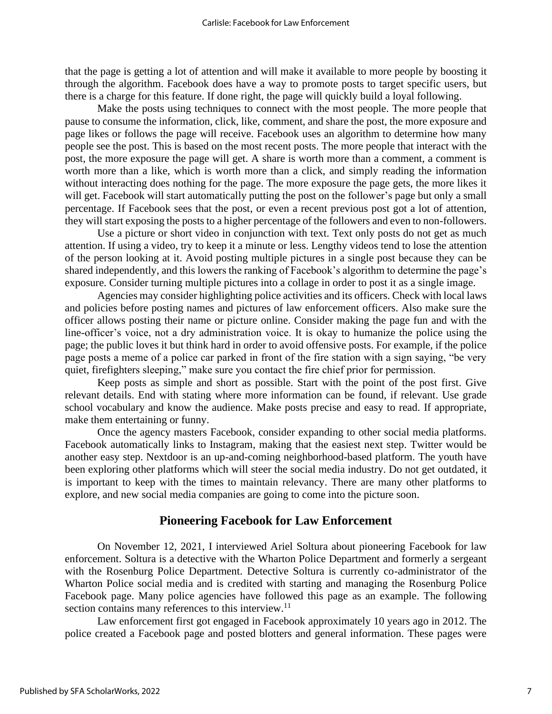that the page is getting a lot of attention and will make it available to more people by boosting it through the algorithm. Facebook does have a way to promote posts to target specific users, but there is a charge for this feature. If done right, the page will quickly build a loyal following.

Make the posts using techniques to connect with the most people. The more people that pause to consume the information, click, like, comment, and share the post, the more exposure and page likes or follows the page will receive. Facebook uses an algorithm to determine how many people see the post. This is based on the most recent posts. The more people that interact with the post, the more exposure the page will get. A share is worth more than a comment, a comment is worth more than a like, which is worth more than a click, and simply reading the information without interacting does nothing for the page. The more exposure the page gets, the more likes it will get. Facebook will start automatically putting the post on the follower's page but only a small percentage. If Facebook sees that the post, or even a recent previous post got a lot of attention, they will start exposing the posts to a higher percentage of the followers and even to non-followers.

Use a picture or short video in conjunction with text. Text only posts do not get as much attention. If using a video, try to keep it a minute or less. Lengthy videos tend to lose the attention of the person looking at it. Avoid posting multiple pictures in a single post because they can be shared independently, and this lowers the ranking of Facebook's algorithm to determine the page's exposure. Consider turning multiple pictures into a collage in order to post it as a single image.

Agencies may consider highlighting police activities and its officers. Check with local laws and policies before posting names and pictures of law enforcement officers. Also make sure the officer allows posting their name or picture online. Consider making the page fun and with the line-officer's voice, not a dry administration voice. It is okay to humanize the police using the page; the public loves it but think hard in order to avoid offensive posts. For example, if the police page posts a meme of a police car parked in front of the fire station with a sign saying, "be very quiet, firefighters sleeping," make sure you contact the fire chief prior for permission.

Keep posts as simple and short as possible. Start with the point of the post first. Give relevant details. End with stating where more information can be found, if relevant. Use grade school vocabulary and know the audience. Make posts precise and easy to read. If appropriate, make them entertaining or funny.

Once the agency masters Facebook, consider expanding to other social media platforms. Facebook automatically links to Instagram, making that the easiest next step. Twitter would be another easy step. Nextdoor is an up-and-coming neighborhood-based platform. The youth have been exploring other platforms which will steer the social media industry. Do not get outdated, it is important to keep with the times to maintain relevancy. There are many other platforms to explore, and new social media companies are going to come into the picture soon.

#### **Pioneering Facebook for Law Enforcement**

On November 12, 2021, I interviewed Ariel Soltura about pioneering Facebook for law enforcement. Soltura is a detective with the Wharton Police Department and formerly a sergeant with the Rosenburg Police Department. Detective Soltura is currently co-administrator of the Wharton Police social media and is credited with starting and managing the Rosenburg Police Facebook page. Many police agencies have followed this page as an example. The following section contains many references to this interview.<sup>11</sup>

Law enforcement first got engaged in Facebook approximately 10 years ago in 2012. The police created a Facebook page and posted blotters and general information. These pages were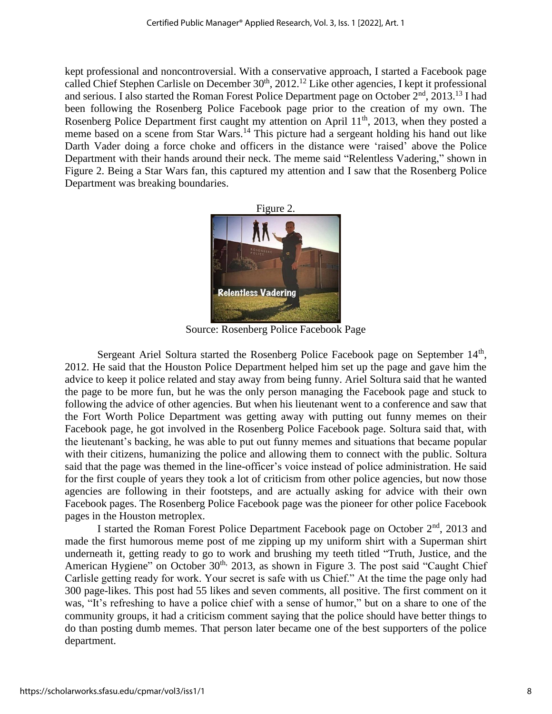kept professional and noncontroversial. With a conservative approach, I started a Facebook page called Chief Stephen Carlisle on December  $30<sup>th</sup>$ ,  $2012<sup>12</sup>$  Like other agencies, I kept it professional and serious. I also started the Roman Forest Police Department page on October 2<sup>nd</sup>, 2013.<sup>13</sup> I had been following the Rosenberg Police Facebook page prior to the creation of my own. The Rosenberg Police Department first caught my attention on April 11<sup>th</sup>, 2013, when they posted a meme based on a scene from Star Wars.<sup>14</sup> This picture had a sergeant holding his hand out like Darth Vader doing a force choke and officers in the distance were 'raised' above the Police Department with their hands around their neck. The meme said "Relentless Vadering," shown in Figure 2. Being a Star Wars fan, this captured my attention and I saw that the Rosenberg Police Department was breaking boundaries.



Source: Rosenberg Police Facebook Page

Sergeant Ariel Soltura started the Rosenberg Police Facebook page on September 14<sup>th</sup>, 2012. He said that the Houston Police Department helped him set up the page and gave him the advice to keep it police related and stay away from being funny. Ariel Soltura said that he wanted the page to be more fun, but he was the only person managing the Facebook page and stuck to following the advice of other agencies. But when his lieutenant went to a conference and saw that the Fort Worth Police Department was getting away with putting out funny memes on their Facebook page, he got involved in the Rosenberg Police Facebook page. Soltura said that, with the lieutenant's backing, he was able to put out funny memes and situations that became popular with their citizens, humanizing the police and allowing them to connect with the public. Soltura said that the page was themed in the line-officer's voice instead of police administration. He said for the first couple of years they took a lot of criticism from other police agencies, but now those agencies are following in their footsteps, and are actually asking for advice with their own Facebook pages. The Rosenberg Police Facebook page was the pioneer for other police Facebook pages in the Houston metroplex.

I started the Roman Forest Police Department Facebook page on October  $2<sup>nd</sup>$ , 2013 and made the first humorous meme post of me zipping up my uniform shirt with a Superman shirt underneath it, getting ready to go to work and brushing my teeth titled "Truth, Justice, and the American Hygiene" on October 30<sup>th,</sup> 2013, as shown in Figure 3. The post said "Caught Chief Carlisle getting ready for work. Your secret is safe with us Chief." At the time the page only had 300 page-likes. This post had 55 likes and seven comments, all positive. The first comment on it was, "It's refreshing to have a police chief with a sense of humor," but on a share to one of the community groups, it had a criticism comment saying that the police should have better things to do than posting dumb memes. That person later became one of the best supporters of the police department.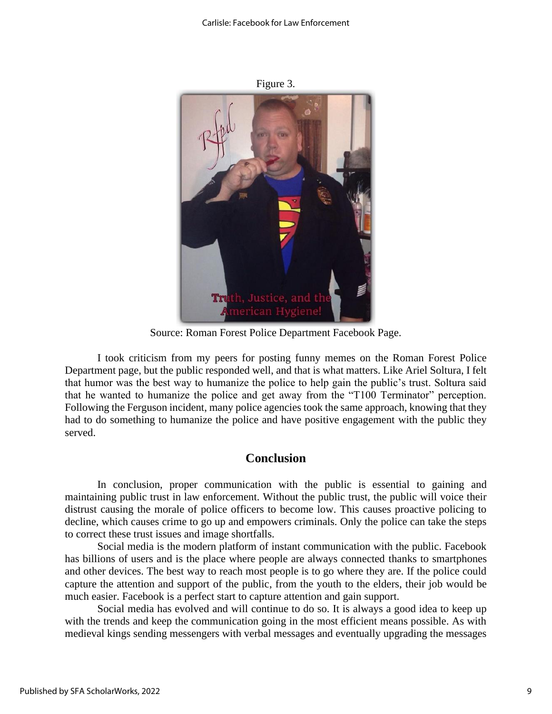

Figure 3.

Source: Roman Forest Police Department Facebook Page.

I took criticism from my peers for posting funny memes on the Roman Forest Police Department page, but the public responded well, and that is what matters. Like Ariel Soltura, I felt that humor was the best way to humanize the police to help gain the public's trust. Soltura said that he wanted to humanize the police and get away from the "T100 Terminator" perception. Following the Ferguson incident, many police agencies took the same approach, knowing that they had to do something to humanize the police and have positive engagement with the public they served.

#### **Conclusion**

In conclusion, proper communication with the public is essential to gaining and maintaining public trust in law enforcement. Without the public trust, the public will voice their distrust causing the morale of police officers to become low. This causes proactive policing to decline, which causes crime to go up and empowers criminals. Only the police can take the steps to correct these trust issues and image shortfalls.

Social media is the modern platform of instant communication with the public. Facebook has billions of users and is the place where people are always connected thanks to smartphones and other devices. The best way to reach most people is to go where they are. If the police could capture the attention and support of the public, from the youth to the elders, their job would be much easier. Facebook is a perfect start to capture attention and gain support.

Social media has evolved and will continue to do so. It is always a good idea to keep up with the trends and keep the communication going in the most efficient means possible. As with medieval kings sending messengers with verbal messages and eventually upgrading the messages